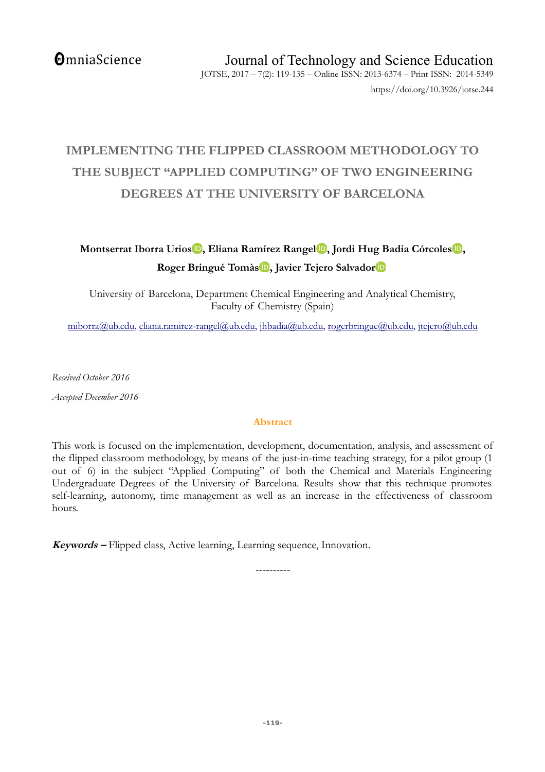**OmniaScience** 

# **IMPLEMENTING THE FLIPPED CLASSROOM METHODOLOGY TO THE SUBJECT "APPLIED COMPUTING" OF TWO ENGINEERING DEGREES AT THE UNIVERSITY OF BARCELONA**

**Montserrat Iborra Urios [,](http://orcid.org/0000-0001-5197-484X) Eliana Ramírez Rangel [,](http://orcid.org/0000-0001-8695-1533) Jordi Hug Badia Córcoles [,](http://orcid.org/0000-0003-2904-590X) Roger Bringué Tomà[s](http://orcid.org/0000-0002-0122-8467) , Javier Tejero Salvado[r](http://orcid.org/0000-0002-2708-5273)**

University of Barcelona, Department Chemical Engineering and Analytical Chemistry, Faculty of Chemistry (Spain)

[miborra@ub.edu,](mailto:miborra@ub.edu) [eliana.ramirez-rangel@ub.edu,](mailto:eliana.ramirez-rangel@ub.edu) [jhbadia@ub.edu,](mailto:jhbadia@ub.edu) [rogerbringue@ub.edu,](mailto:rogerbringue@ub.edu) [jtejero@ub.edu](mailto:jtejero@ub.edu)

*Received October 2016*

*Accepted December 2016*

## **Abstract**

This work is focused on the implementation, development, documentation, analysis, and assessment of the flipped classroom methodology, by means of the just-in-time teaching strategy, for a pilot group (1 out of 6) in the subject "Applied Computing" of both the Chemical and Materials Engineering Undergraduate Degrees of the University of Barcelona. Results show that this technique promotes self-learning, autonomy, time management as well as an increase in the effectiveness of classroom hours.

**Keywords –** Flipped class, Active learning, Learning sequence, Innovation.

----------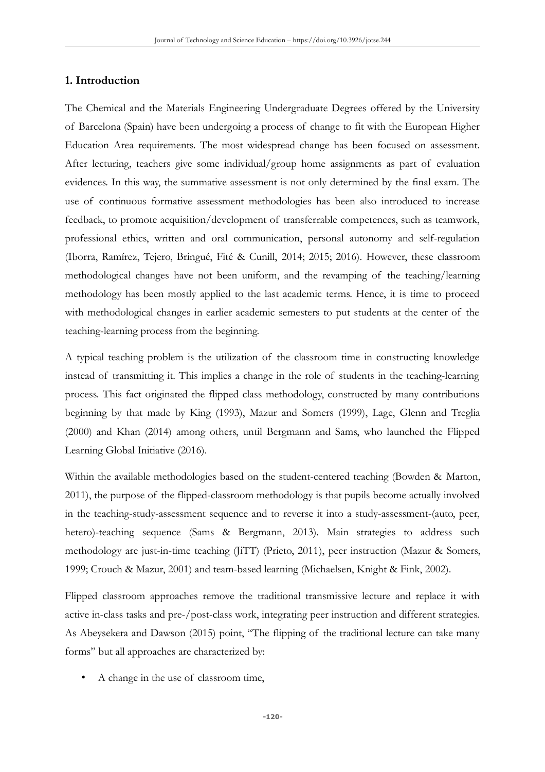#### **1. Introduction**

The Chemical and the Materials Engineering Undergraduate Degrees offered by the University of Barcelona (Spain) have been undergoing a process of change to fit with the European Higher Education Area requirements. The most widespread change has been focused on assessment. After lecturing, teachers give some individual/group home assignments as part of evaluation evidences. In this way, the summative assessment is not only determined by the final exam. The use of continuous formative assessment methodologies has been also introduced to increase feedback, to promote acquisition/development of transferrable competences, such as teamwork, professional ethics, written and oral communication, personal autonomy and self-regulation (Iborra, Ramírez, Tejero, Bringué, Fité & Cunill, 2014; 2015; 2016). However, these classroom methodological changes have not been uniform, and the revamping of the teaching/learning methodology has been mostly applied to the last academic terms. Hence, it is time to proceed with methodological changes in earlier academic semesters to put students at the center of the teaching-learning process from the beginning.

A typical teaching problem is the utilization of the classroom time in constructing knowledge instead of transmitting it. This implies a change in the role of students in the teaching-learning process. This fact originated the flipped class methodology, constructed by many contributions beginning by that made by King (1993), Mazur and Somers (1999), Lage, Glenn and Treglia (2000) and Khan (2014) among others, until Bergmann and Sams, who launched the Flipped Learning Global Initiative (2016).

Within the available methodologies based on the student-centered teaching (Bowden & Marton, 2011), the purpose of the flipped-classroom methodology is that pupils become actually involved in the teaching-study-assessment sequence and to reverse it into a study-assessment-(auto, peer, hetero)-teaching sequence (Sams & Bergmann, 2013). Main strategies to address such methodology are just-in-time teaching (JiTT) (Prieto, 2011), peer instruction (Mazur & Somers, 1999; Crouch & Mazur, 2001) and team-based learning (Michaelsen, Knight & Fink, 2002).

Flipped classroom approaches remove the traditional transmissive lecture and replace it with active in-class tasks and pre-/post-class work, integrating peer instruction and different strategies. As Abeysekera and Dawson (2015) point, "The flipping of the traditional lecture can take many forms" but all approaches are characterized by:

• A change in the use of classroom time,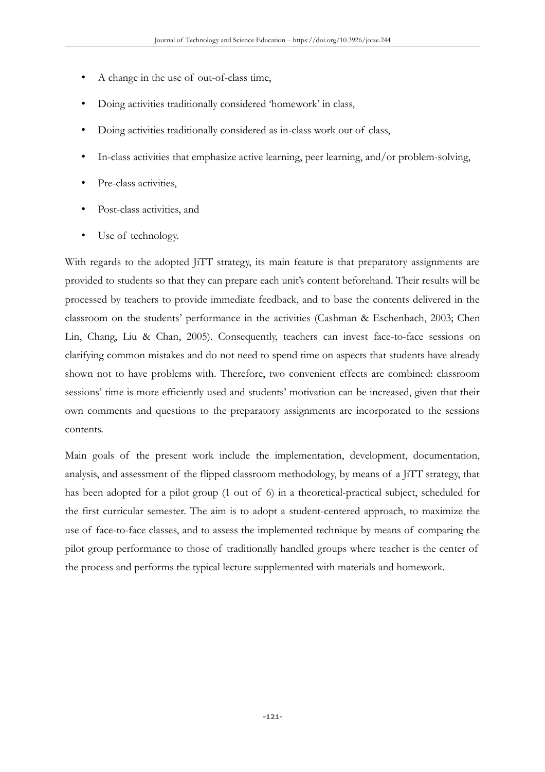- A change in the use of out-of-class time,
- Doing activities traditionally considered 'homework' in class,
- Doing activities traditionally considered as in-class work out of class,
- In-class activities that emphasize active learning, peer learning, and/or problem-solving,
- Pre-class activities,
- Post-class activities, and
- Use of technology.

With regards to the adopted JiTT strategy, its main feature is that preparatory assignments are provided to students so that they can prepare each unit's content beforehand. Their results will be processed by teachers to provide immediate feedback, and to base the contents delivered in the classroom on the students' performance in the activities (Cashman & Eschenbach, 2003; Chen Lin, Chang, Liu & Chan, 2005). Consequently, teachers can invest face-to-face sessions on clarifying common mistakes and do not need to spend time on aspects that students have already shown not to have problems with. Therefore, two convenient effects are combined: classroom sessions' time is more efficiently used and students' motivation can be increased, given that their own comments and questions to the preparatory assignments are incorporated to the sessions contents.

Main goals of the present work include the implementation, development, documentation, analysis, and assessment of the flipped classroom methodology, by means of a JiTT strategy, that has been adopted for a pilot group (1 out of 6) in a theoretical-practical subject, scheduled for the first curricular semester. The aim is to adopt a student-centered approach, to maximize the use of face-to-face classes, and to assess the implemented technique by means of comparing the pilot group performance to those of traditionally handled groups where teacher is the center of the process and performs the typical lecture supplemented with materials and homework.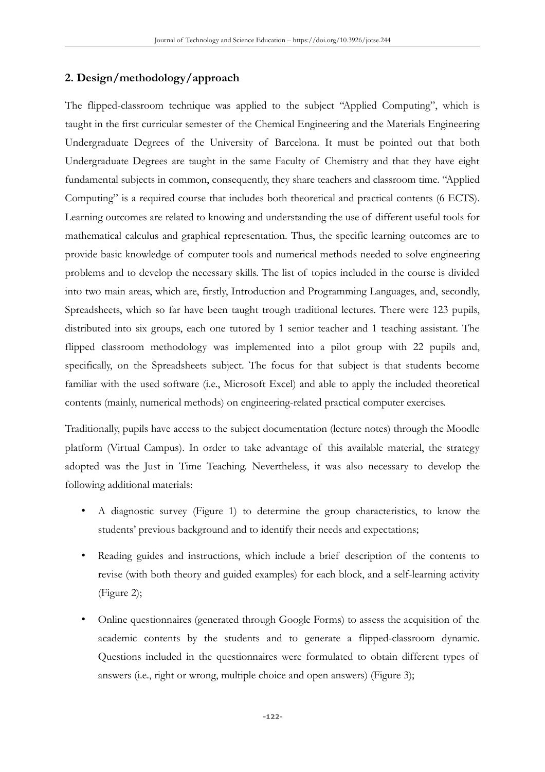# **2. Design/methodology/approach**

The flipped-classroom technique was applied to the subject "Applied Computing", which is taught in the first curricular semester of the Chemical Engineering and the Materials Engineering Undergraduate Degrees of the University of Barcelona. It must be pointed out that both Undergraduate Degrees are taught in the same Faculty of Chemistry and that they have eight fundamental subjects in common, consequently, they share teachers and classroom time. "Applied Computing" is a required course that includes both theoretical and practical contents (6 ECTS). Learning outcomes are related to knowing and understanding the use of different useful tools for mathematical calculus and graphical representation. Thus, the specific learning outcomes are to provide basic knowledge of computer tools and numerical methods needed to solve engineering problems and to develop the necessary skills. The list of topics included in the course is divided into two main areas, which are, firstly, Introduction and Programming Languages, and, secondly, Spreadsheets, which so far have been taught trough traditional lectures. There were 123 pupils, distributed into six groups, each one tutored by 1 senior teacher and 1 teaching assistant. The flipped classroom methodology was implemented into a pilot group with 22 pupils and, specifically, on the Spreadsheets subject. The focus for that subject is that students become familiar with the used software (i.e., Microsoft Excel) and able to apply the included theoretical contents (mainly, numerical methods) on engineering-related practical computer exercises.

Traditionally, pupils have access to the subject documentation (lecture notes) through the Moodle platform (Virtual Campus). In order to take advantage of this available material, the strategy adopted was the Just in Time Teaching. Nevertheless, it was also necessary to develop the following additional materials:

- A diagnostic survey (Figure 1) to determine the group characteristics, to know the students' previous background and to identify their needs and expectations;
- Reading guides and instructions, which include a brief description of the contents to revise (with both theory and guided examples) for each block, and a self-learning activity (Figure 2);
- Online questionnaires (generated through Google Forms) to assess the acquisition of the academic contents by the students and to generate a flipped-classroom dynamic. Questions included in the questionnaires were formulated to obtain different types of answers (i.e., right or wrong, multiple choice and open answers) (Figure 3);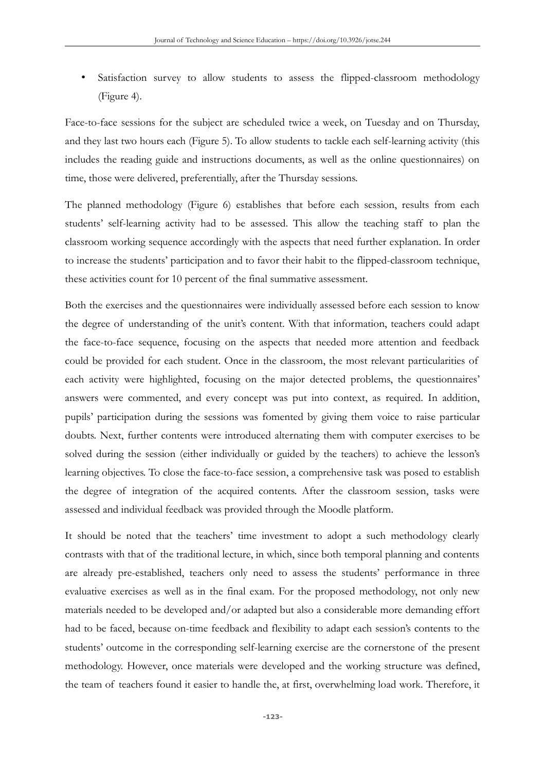Satisfaction survey to allow students to assess the flipped-classroom methodology (Figure 4).

Face-to-face sessions for the subject are scheduled twice a week, on Tuesday and on Thursday, and they last two hours each (Figure 5). To allow students to tackle each self-learning activity (this includes the reading guide and instructions documents, as well as the online questionnaires) on time, those were delivered, preferentially, after the Thursday sessions.

The planned methodology (Figure 6) establishes that before each session, results from each students' self-learning activity had to be assessed. This allow the teaching staff to plan the classroom working sequence accordingly with the aspects that need further explanation. In order to increase the students' participation and to favor their habit to the flipped-classroom technique, these activities count for 10 percent of the final summative assessment.

Both the exercises and the questionnaires were individually assessed before each session to know the degree of understanding of the unit's content. With that information, teachers could adapt the face-to-face sequence, focusing on the aspects that needed more attention and feedback could be provided for each student. Once in the classroom, the most relevant particularities of each activity were highlighted, focusing on the major detected problems, the questionnaires' answers were commented, and every concept was put into context, as required. In addition, pupils' participation during the sessions was fomented by giving them voice to raise particular doubts. Next, further contents were introduced alternating them with computer exercises to be solved during the session (either individually or guided by the teachers) to achieve the lesson's learning objectives. To close the face-to-face session, a comprehensive task was posed to establish the degree of integration of the acquired contents. After the classroom session, tasks were assessed and individual feedback was provided through the Moodle platform.

It should be noted that the teachers' time investment to adopt a such methodology clearly contrasts with that of the traditional lecture, in which, since both temporal planning and contents are already pre-established, teachers only need to assess the students' performance in three evaluative exercises as well as in the final exam. For the proposed methodology, not only new materials needed to be developed and/or adapted but also a considerable more demanding effort had to be faced, because on-time feedback and flexibility to adapt each session's contents to the students' outcome in the corresponding self-learning exercise are the cornerstone of the present methodology. However, once materials were developed and the working structure was defined, the team of teachers found it easier to handle the, at first, overwhelming load work. Therefore, it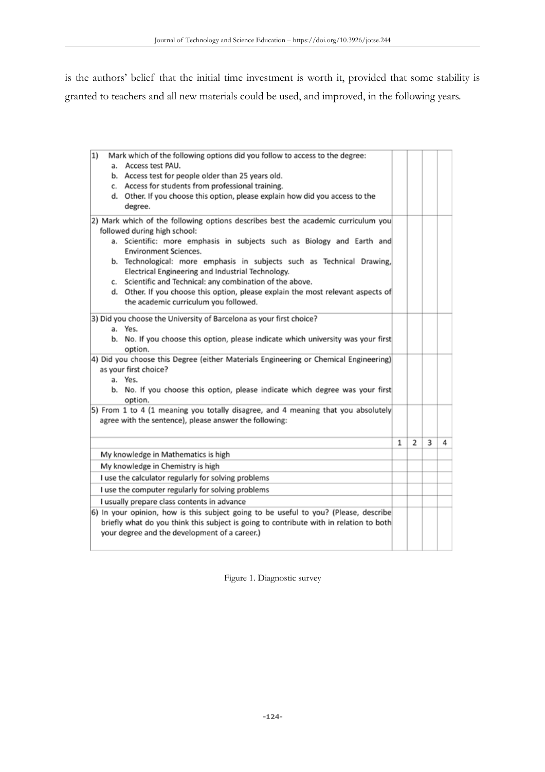is the authors' belief that the initial time investment is worth it, provided that some stability is granted to teachers and all new materials could be used, and improved, in the following years.

| 1)<br>Mark which of the following options did you follow to access to the degree:                                                              |   |   |   |   |
|------------------------------------------------------------------------------------------------------------------------------------------------|---|---|---|---|
| a. Access test PAU.                                                                                                                            |   |   |   |   |
| b. Access test for people older than 25 years old.                                                                                             |   |   |   |   |
| c. Access for students from professional training.                                                                                             |   |   |   |   |
| d. Other. If you choose this option, please explain how did you access to the                                                                  |   |   |   |   |
| degree.                                                                                                                                        |   |   |   |   |
| 2) Mark which of the following options describes best the academic curriculum you                                                              |   |   |   |   |
| followed during high school:                                                                                                                   |   |   |   |   |
| a. Scientific: more emphasis in subjects such as Biology and Earth and                                                                         |   |   |   |   |
| <b>Environment Sciences.</b>                                                                                                                   |   |   |   |   |
| b. Technological: more emphasis in subjects such as Technical Drawing,                                                                         |   |   |   |   |
| Electrical Engineering and Industrial Technology.                                                                                              |   |   |   |   |
| c. Scientific and Technical: any combination of the above.<br>d. Other. If you choose this option, please explain the most relevant aspects of |   |   |   |   |
| the academic curriculum you followed.                                                                                                          |   |   |   |   |
|                                                                                                                                                |   |   |   |   |
| 3) Did you choose the University of Barcelona as your first choice?                                                                            |   |   |   |   |
| a. Yes.                                                                                                                                        |   |   |   |   |
| b. No. If you choose this option, please indicate which university was your first                                                              |   |   |   |   |
| option.<br>4) Did you choose this Degree (either Materials Engineering or Chemical Engineering)                                                |   |   |   |   |
| as your first choice?                                                                                                                          |   |   |   |   |
| a. Yes.                                                                                                                                        |   |   |   |   |
| b. No. If you choose this option, please indicate which degree was your first                                                                  |   |   |   |   |
| option.                                                                                                                                        |   |   |   |   |
| 5) From 1 to 4 (1 meaning you totally disagree, and 4 meaning that you absolutely                                                              |   |   |   |   |
| agree with the sentence), please answer the following:                                                                                         |   |   |   |   |
|                                                                                                                                                |   |   |   |   |
|                                                                                                                                                | 1 | 2 | 3 | 4 |
| My knowledge in Mathematics is high                                                                                                            |   |   |   |   |
| My knowledge in Chemistry is high                                                                                                              |   |   |   |   |
| I use the calculator regularly for solving problems                                                                                            |   |   |   |   |
| I use the computer regularly for solving problems                                                                                              |   |   |   |   |
| I usually prepare class contents in advance                                                                                                    |   |   |   |   |
| 6) In your opinion, how is this subject going to be useful to you? (Please, describe                                                           |   |   |   |   |
| briefly what do you think this subject is going to contribute with in relation to both                                                         |   |   |   |   |
|                                                                                                                                                |   |   |   |   |
| your degree and the development of a career.)                                                                                                  |   |   |   |   |

Figure 1. Diagnostic survey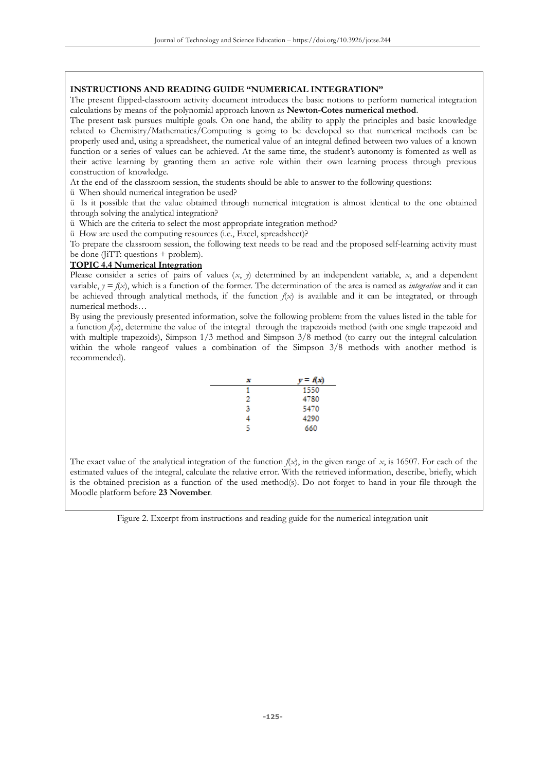#### **INSTRUCTIONS AND READING GUIDE "NUMERICAL INTEGRATION"**

The present flipped-classroom activity document introduces the basic notions to perform numerical integration calculations by means of the polynomial approach known as **Newton-Cotes numerical method**.

The present task pursues multiple goals. On one hand, the ability to apply the principles and basic knowledge related to Chemistry/Mathematics/Computing is going to be developed so that numerical methods can be properly used and, using a spreadsheet, the numerical value of an integral defined between two values of a known function or a series of values can be achieved. At the same time, the student's autonomy is fomented as well as their active learning by granting them an active role within their own learning process through previous construction of knowledge.

At the end of the classroom session, the students should be able to answer to the following questions:

ü When should numerical integration be used?

ü Is it possible that the value obtained through numerical integration is almost identical to the one obtained through solving the analytical integration?

ü Which are the criteria to select the most appropriate integration method?

ü How are used the computing resources (i.e., Excel, spreadsheet)?

To prepare the classroom session, the following text needs to be read and the proposed self-learning activity must be done (JiTT: questions  $+$  problem).

#### **TOPIC 4.4 Numerical Integration**

Please consider a series of pairs of values  $(x, y)$  determined by an independent variable,  $x$ , and a dependent variable,  $y = f(x)$ , which is a function of the former. The determination of the area is named as *integration* and it can be achieved through analytical methods, if the function  $f(x)$  is available and it can be integrated, or through numerical methods…

By using the previously presented information, solve the following problem: from the values listed in the table for a function  $f(x)$ , determine the value of the integral through the trapezoids method (with one single trapezoid and with multiple trapezoids), Simpson 1/3 method and Simpson 3/8 method (to carry out the integral calculation within the whole rangeof values a combination of the Simpson 3/8 methods with another method is recommended).

| x | $v = f(x)$ |
|---|------------|
|   | 1550       |
| 2 | 4780       |
| 3 | 5470       |
| 4 | 4290       |
| 5 | 660        |

The exact value of the analytical integration of the function  $f(x)$ , in the given range of x, is 16507. For each of the estimated values of the integral, calculate the relative error. With the retrieved information, describe, briefly, which is the obtained precision as a function of the used method(s). Do not forget to hand in your file through the Moodle platform before **23 November**.

Figure 2. Excerpt from instructions and reading guide for the numerical integration unit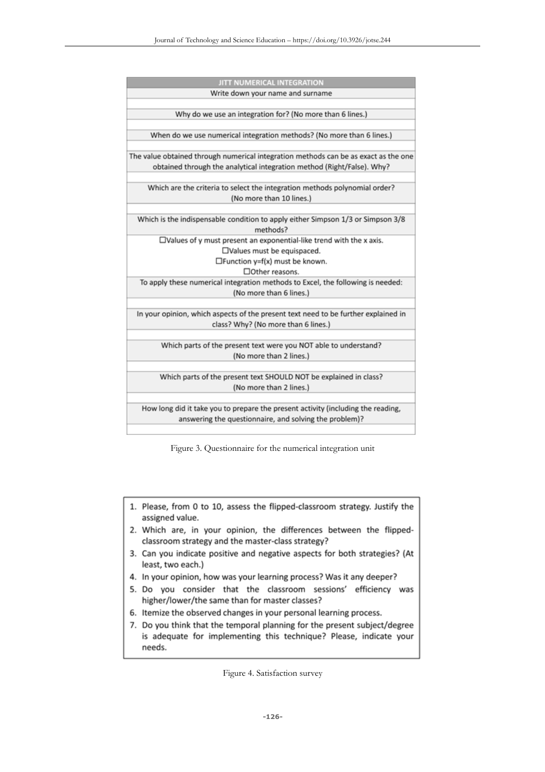| JITT NUMERICAL INTEGRATION                                                                                                                                    |
|---------------------------------------------------------------------------------------------------------------------------------------------------------------|
| Write down your name and surname                                                                                                                              |
| Why do we use an integration for? (No more than 6 lines.)                                                                                                     |
| When do we use numerical integration methods? (No more than 6 lines.)                                                                                         |
| The value obtained through numerical integration methods can be as exact as the one<br>obtained through the analytical integration method (Right/False). Why? |
| Which are the criteria to select the integration methods polynomial order?<br>(No more than 10 lines.)                                                        |
| Which is the indispensable condition to apply either Simpson 1/3 or Simpson 3/8<br>methods?                                                                   |
| $\square$ Values of y must present an exponential-like trend with the x axis.                                                                                 |
| □Values must be equispaced.                                                                                                                                   |
| $\Box$ Function y=f(x) must be known.                                                                                                                         |
| □ Other reasons.                                                                                                                                              |
| To apply these numerical integration methods to Excel, the following is needed:<br>(No more than 6 lines.)                                                    |
| In your opinion, which aspects of the present text need to be further explained in<br>class? Why? (No more than 6 lines.)                                     |
| Which parts of the present text were you NOT able to understand?<br>(No more than 2 lines.)                                                                   |
| Which parts of the present text SHOULD NOT be explained in class?<br>(No more than 2 lines.)                                                                  |
| How long did it take you to prepare the present activity (including the reading,<br>answering the questionnaire, and solving the problem)?                    |
|                                                                                                                                                               |

Figure 3. Questionnaire for the numerical integration unit

- 1. Please, from 0 to 10, assess the flipped-classroom strategy. Justify the assigned value.
- 2. Which are, in your opinion, the differences between the flippedclassroom strategy and the master-class strategy?
- 3. Can you indicate positive and negative aspects for both strategies? (At least, two each.)
- 4. In your opinion, how was your learning process? Was it any deeper?
- 5. Do you consider that the classroom sessions' efficiency was higher/lower/the same than for master classes?
- 6. Itemize the observed changes in your personal learning process.
- 7. Do you think that the temporal planning for the present subject/degree is adequate for implementing this technique? Please, indicate your needs.

Figure 4. Satisfaction survey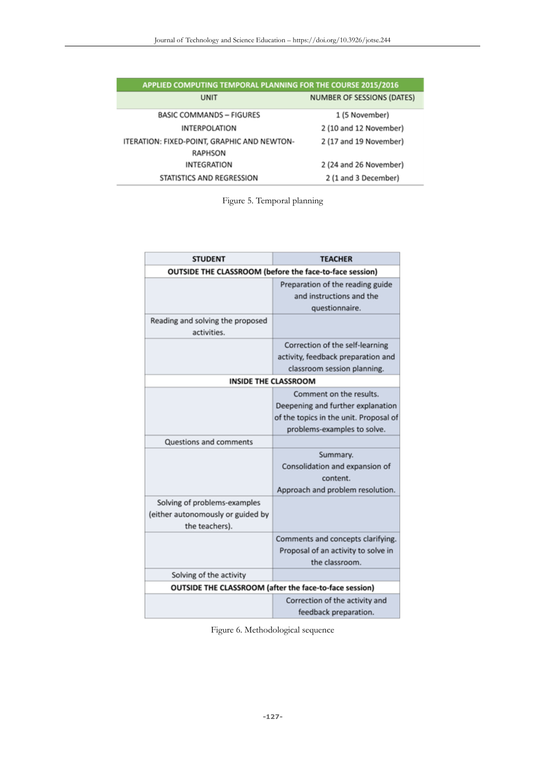| APPLIED COMPUTING TEMPORAL PLANNING FOR THE COURSE 2015/2016 |                            |  |  |  |
|--------------------------------------------------------------|----------------------------|--|--|--|
| UNIT                                                         | NUMBER OF SESSIONS (DATES) |  |  |  |
| <b>BASIC COMMANDS - FIGURES</b>                              | 1 (5 November)             |  |  |  |
| <b>INTERPOLATION</b>                                         | 2 (10 and 12 November)     |  |  |  |
| ITERATION: FIXED-POINT, GRAPHIC AND NEWTON-                  | 2 (17 and 19 November)     |  |  |  |
| RAPHSON                                                      |                            |  |  |  |
| <b>INTEGRATION</b>                                           | 2 (24 and 26 November)     |  |  |  |
| STATISTICS AND REGRESSION                                    | 2 (1 and 3 December)       |  |  |  |

Figure 5. Temporal planning

| <b>STUDENT</b>                                                                      | <b>TEACHER</b>                                         |  |  |  |  |
|-------------------------------------------------------------------------------------|--------------------------------------------------------|--|--|--|--|
| OUTSIDE THE CLASSROOM (before the face-to-face session)                             |                                                        |  |  |  |  |
|                                                                                     | Preparation of the reading guide                       |  |  |  |  |
|                                                                                     | and instructions and the                               |  |  |  |  |
|                                                                                     | questionnaire.                                         |  |  |  |  |
| Reading and solving the proposed<br>activities.                                     |                                                        |  |  |  |  |
|                                                                                     | Correction of the self-learning                        |  |  |  |  |
|                                                                                     | activity, feedback preparation and                     |  |  |  |  |
|                                                                                     | classroom session planning.                            |  |  |  |  |
| <b>INSIDE THE CLASSROOM</b>                                                         |                                                        |  |  |  |  |
|                                                                                     | Comment on the results.                                |  |  |  |  |
|                                                                                     | Deepening and further explanation                      |  |  |  |  |
|                                                                                     | of the topics in the unit. Proposal of                 |  |  |  |  |
|                                                                                     | problems-examples to solve.                            |  |  |  |  |
| Questions and comments                                                              |                                                        |  |  |  |  |
|                                                                                     | Summary.                                               |  |  |  |  |
|                                                                                     | Consolidation and expansion of                         |  |  |  |  |
|                                                                                     | content.                                               |  |  |  |  |
|                                                                                     | Approach and problem resolution.                       |  |  |  |  |
| Solving of problems-examples<br>(either autonomously or guided by<br>the teachers). |                                                        |  |  |  |  |
|                                                                                     | Comments and concepts clarifying.                      |  |  |  |  |
|                                                                                     | Proposal of an activity to solve in                    |  |  |  |  |
|                                                                                     | the classroom.                                         |  |  |  |  |
| Solving of the activity                                                             |                                                        |  |  |  |  |
|                                                                                     | OUTSIDE THE CLASSROOM (after the face-to-face session) |  |  |  |  |
|                                                                                     | Correction of the activity and                         |  |  |  |  |
|                                                                                     | feedback preparation.                                  |  |  |  |  |

Figure 6. Methodological sequence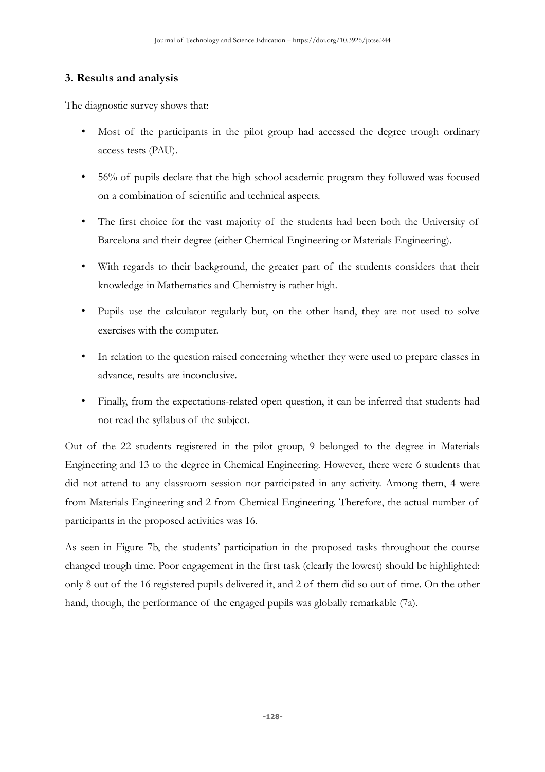## **3. Results and analysis**

The diagnostic survey shows that:

- Most of the participants in the pilot group had accessed the degree trough ordinary access tests (PAU).
- 56% of pupils declare that the high school academic program they followed was focused on a combination of scientific and technical aspects.
- The first choice for the vast majority of the students had been both the University of Barcelona and their degree (either Chemical Engineering or Materials Engineering).
- With regards to their background, the greater part of the students considers that their knowledge in Mathematics and Chemistry is rather high.
- Pupils use the calculator regularly but, on the other hand, they are not used to solve exercises with the computer.
- In relation to the question raised concerning whether they were used to prepare classes in advance, results are inconclusive.
- Finally, from the expectations-related open question, it can be inferred that students had not read the syllabus of the subject.

Out of the 22 students registered in the pilot group, 9 belonged to the degree in Materials Engineering and 13 to the degree in Chemical Engineering. However, there were 6 students that did not attend to any classroom session nor participated in any activity. Among them, 4 were from Materials Engineering and 2 from Chemical Engineering. Therefore, the actual number of participants in the proposed activities was 16.

As seen in Figure 7b, the students' participation in the proposed tasks throughout the course changed trough time. Poor engagement in the first task (clearly the lowest) should be highlighted: only 8 out of the 16 registered pupils delivered it, and 2 of them did so out of time. On the other hand, though, the performance of the engaged pupils was globally remarkable (7a).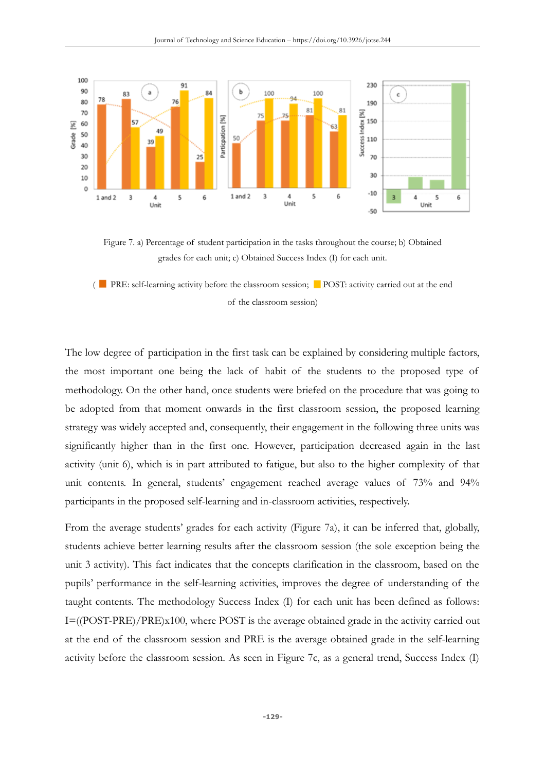



( PRE: self-learning activity before the classroom session; POST: activity carried out at the end of the classroom session)

The low degree of participation in the first task can be explained by considering multiple factors, the most important one being the lack of habit of the students to the proposed type of methodology. On the other hand, once students were briefed on the procedure that was going to be adopted from that moment onwards in the first classroom session, the proposed learning strategy was widely accepted and, consequently, their engagement in the following three units was significantly higher than in the first one. However, participation decreased again in the last activity (unit 6), which is in part attributed to fatigue, but also to the higher complexity of that unit contents. In general, students' engagement reached average values of 73% and 94% participants in the proposed self-learning and in-classroom activities, respectively.

From the average students' grades for each activity (Figure 7a), it can be inferred that, globally, students achieve better learning results after the classroom session (the sole exception being the unit 3 activity). This fact indicates that the concepts clarification in the classroom, based on the pupils' performance in the self-learning activities, improves the degree of understanding of the taught contents. The methodology Success Index (I) for each unit has been defined as follows: I=((POST-PRE)/PRE)x100, where POST is the average obtained grade in the activity carried out at the end of the classroom session and PRE is the average obtained grade in the self-learning activity before the classroom session. As seen in Figure 7c, as a general trend, Success Index (I)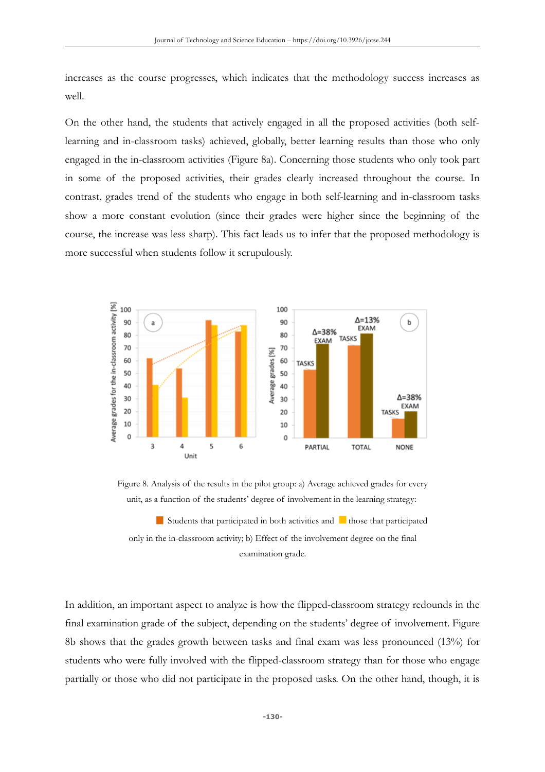increases as the course progresses, which indicates that the methodology success increases as well.

On the other hand, the students that actively engaged in all the proposed activities (both selflearning and in-classroom tasks) achieved, globally, better learning results than those who only engaged in the in-classroom activities (Figure 8a). Concerning those students who only took part in some of the proposed activities, their grades clearly increased throughout the course. In contrast, grades trend of the students who engage in both self-learning and in-classroom tasks show a more constant evolution (since their grades were higher since the beginning of the course, the increase was less sharp). This fact leads us to infer that the proposed methodology is more successful when students follow it scrupulously.



Figure 8. Analysis of the results in the pilot group: a) Average achieved grades for every unit, as a function of the students' degree of involvement in the learning strategy:

 $\blacksquare$  Students that participated in both activities and  $\blacksquare$  those that participated only in the in-classroom activity; b) Effect of the involvement degree on the final examination grade.

In addition, an important aspect to analyze is how the flipped-classroom strategy redounds in the final examination grade of the subject, depending on the students' degree of involvement. Figure 8b shows that the grades growth between tasks and final exam was less pronounced (13%) for students who were fully involved with the flipped-classroom strategy than for those who engage partially or those who did not participate in the proposed tasks. On the other hand, though, it is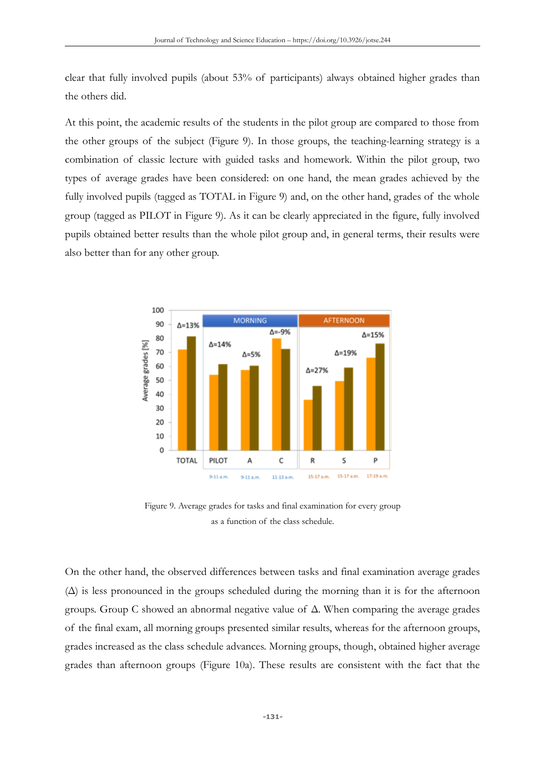clear that fully involved pupils (about 53% of participants) always obtained higher grades than the others did.

At this point, the academic results of the students in the pilot group are compared to those from the other groups of the subject (Figure 9). In those groups, the teaching-learning strategy is a combination of classic lecture with guided tasks and homework. Within the pilot group, two types of average grades have been considered: on one hand, the mean grades achieved by the fully involved pupils (tagged as TOTAL in Figure 9) and, on the other hand, grades of the whole group (tagged as PILOT in Figure 9). As it can be clearly appreciated in the figure, fully involved pupils obtained better results than the whole pilot group and, in general terms, their results were also better than for any other group.



Figure 9. Average grades for tasks and final examination for every group as a function of the class schedule.

On the other hand, the observed differences between tasks and final examination average grades  $(\Delta)$  is less pronounced in the groups scheduled during the morning than it is for the afternoon groups. Group C showed an abnormal negative value of Δ. When comparing the average grades of the final exam, all morning groups presented similar results, whereas for the afternoon groups, grades increased as the class schedule advances. Morning groups, though, obtained higher average grades than afternoon groups (Figure 10a). These results are consistent with the fact that the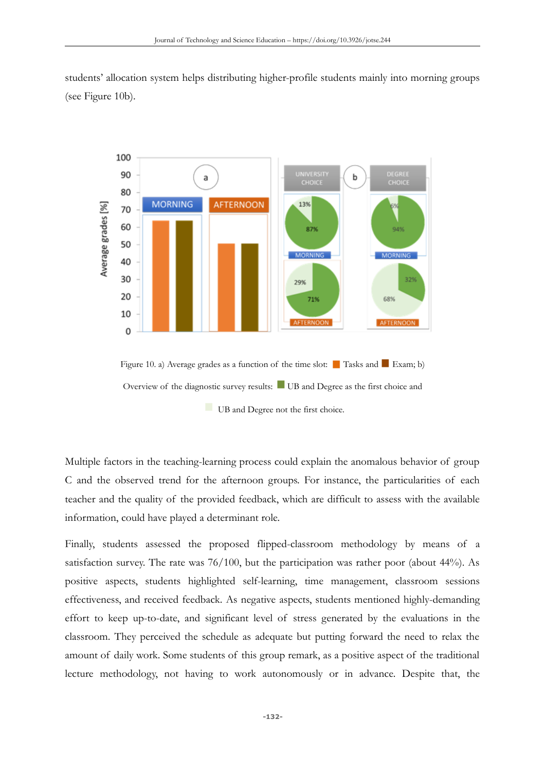students' allocation system helps distributing higher-profile students mainly into morning groups (see Figure 10b).



Multiple factors in the teaching-learning process could explain the anomalous behavior of group C and the observed trend for the afternoon groups. For instance, the particularities of each teacher and the quality of the provided feedback, which are difficult to assess with the available information, could have played a determinant role.

Finally, students assessed the proposed flipped-classroom methodology by means of a satisfaction survey. The rate was 76/100, but the participation was rather poor (about 44%). As positive aspects, students highlighted self-learning, time management, classroom sessions effectiveness, and received feedback. As negative aspects, students mentioned highly-demanding effort to keep up-to-date, and significant level of stress generated by the evaluations in the classroom. They perceived the schedule as adequate but putting forward the need to relax the amount of daily work. Some students of this group remark, as a positive aspect of the traditional lecture methodology, not having to work autonomously or in advance. Despite that, the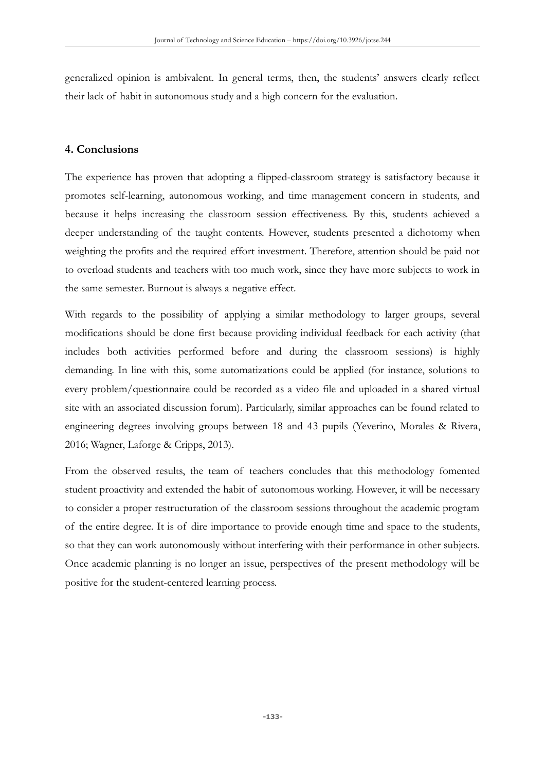generalized opinion is ambivalent. In general terms, then, the students' answers clearly reflect their lack of habit in autonomous study and a high concern for the evaluation.

# **4. Conclusions**

The experience has proven that adopting a flipped-classroom strategy is satisfactory because it promotes self-learning, autonomous working, and time management concern in students, and because it helps increasing the classroom session effectiveness. By this, students achieved a deeper understanding of the taught contents. However, students presented a dichotomy when weighting the profits and the required effort investment. Therefore, attention should be paid not to overload students and teachers with too much work, since they have more subjects to work in the same semester. Burnout is always a negative effect.

With regards to the possibility of applying a similar methodology to larger groups, several modifications should be done first because providing individual feedback for each activity (that includes both activities performed before and during the classroom sessions) is highly demanding. In line with this, some automatizations could be applied (for instance, solutions to every problem/questionnaire could be recorded as a video file and uploaded in a shared virtual site with an associated discussion forum). Particularly, similar approaches can be found related to engineering degrees involving groups between 18 and 43 pupils (Yeverino, Morales & Rivera, 2016; Wagner, Laforge & Cripps, 2013).

From the observed results, the team of teachers concludes that this methodology fomented student proactivity and extended the habit of autonomous working. However, it will be necessary to consider a proper restructuration of the classroom sessions throughout the academic program of the entire degree. It is of dire importance to provide enough time and space to the students, so that they can work autonomously without interfering with their performance in other subjects. Once academic planning is no longer an issue, perspectives of the present methodology will be positive for the student-centered learning process.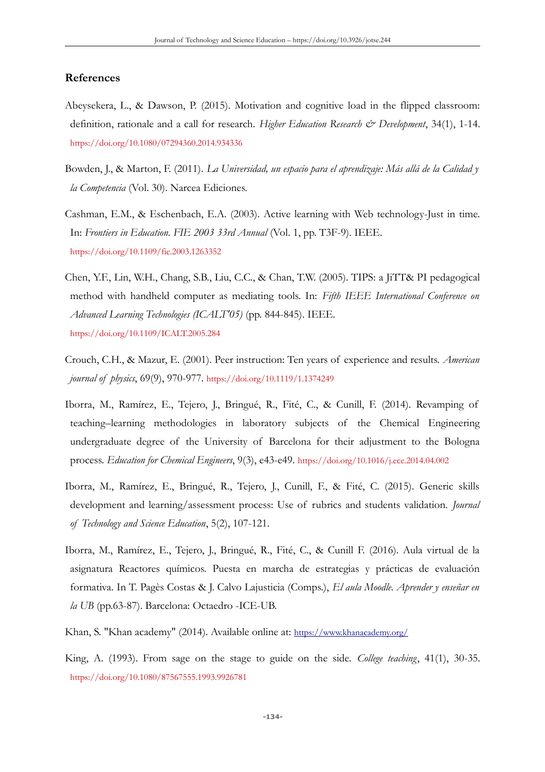### **References**

- Abeysekera, L., & Dawson, P. (2015). Motivation and cognitive load in the flipped classroom: definition, rationale and a call for research. *Higher Education Research & Development*, 34(1), 1-14. <https://doi.org/10.1080/07294360.2014.934336>
- Bowden, J., & Marton, F. (2011). *La Universidad, un espacio para el aprendizaje: Más allá de la Calidad y la Competencia* (Vol. 30). Narcea Ediciones.
- Cashman, E.M., & Eschenbach, E.A. (2003). Active learning with Web technology-Just in time. In: *Frontiers in Education. FIE 2003 33rd Annual* (Vol. 1, pp. T3F-9). IEEE. <https://doi.org/10.1109/fie.2003.1263352>
- Chen, Y.F., Lin, W.H., Chang, S.B., Liu, C.C., & Chan, T.W. (2005). TIPS: a JiTT& PI pedagogical method with handheld computer as mediating tools. In: *Fifth IEEE International Conference on Advanced Learning Technologies (ICALT'05)* (pp. 844-845). IEEE. <https://doi.org/10.1109/ICALT.2005.284>
- Crouch, C.H., & Mazur, E. (2001). Peer instruction: Ten years of experience and results. *American journal of physics*, 69(9), 970-977. <https://doi.org/10.1119/1.1374249>
- Iborra, M., Ramírez, E., Tejero, J., Bringué, R., Fité, C., & Cunill, F. (2014). Revamping of teaching–learning methodologies in laboratory subjects of the Chemical Engineering undergraduate degree of the University of Barcelona for their adjustment to the Bologna process. *Education for Chemical Engineers*, 9(3), e43-e49. <https://doi.org/10.1016/j.ece.2014.04.002>
- Iborra, M., Ramírez, E., Bringué, R., Tejero, J., Cunill, F., & Fité, C. (2015). Generic skills development and learning/assessment process: Use of rubrics and students validation. *Journal of Technology and Science Education*, 5(2), 107-121.
- Iborra, M., Ramírez, E., Tejero, J., Bringué, R., Fité, C., & Cunill F. (2016). Aula virtual de la asignatura Reactores químicos. Puesta en marcha de estrategias y prácticas de evaluación formativa. In T. Pagès Costas & J. Calvo Lajusticia (Comps.), *El aula Moodle. Aprender y enseñar en la UB* (pp.63-87). Barcelona: Octaedro -ICE-UB.

Khan, S. "Khan academy" (2014). Available online at: <https://www.khanacademy.org/>

King, A. (1993). From sage on the stage to guide on the side. *College teaching*, 41(1), 30-35. <https://doi.org/10.1080/87567555.1993.9926781>